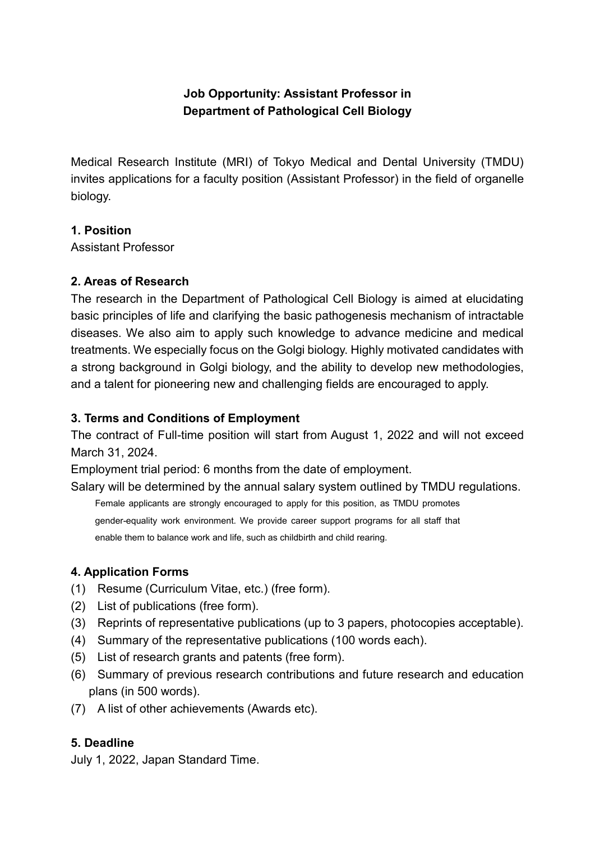# **Job Opportunity: Assistant Professor in Department of Pathological Cell Biology**

Medical Research Institute (MRI) of Tokyo Medical and Dental University (TMDU) invites applications for a faculty position (Assistant Professor) in the field of organelle biology.

#### **1. Position**

Assistant Professor

#### **2. Areas of Research**

The research in the Department of Pathological Cell Biology is aimed at elucidating basic principles of life and clarifying the basic pathogenesis mechanism of intractable diseases. We also aim to apply such knowledge to advance medicine and medical treatments. We especially focus on the Golgi biology. Highly motivated candidates with a strong background in Golgi biology, and the ability to develop new methodologies, and a talent for pioneering new and challenging fields are encouraged to apply.

### **3. Terms and Conditions of Employment**

The contract of Full-time position will start from August 1, 2022 and will not exceed March 31, 2024.

Employment trial period: 6 months from the date of employment.

Salary will be determined by the annual salary system outlined by TMDU regulations.

Female applicants are strongly encouraged to apply for this position, as TMDU promotes gender-equality work environment. We provide career support programs for all staff that

enable them to balance work and life, such as childbirth and child rearing.

### **4. Application Forms**

- (1) Resume (Curriculum Vitae, etc.) (free form).
- (2) List of publications (free form).
- (3) Reprints of representative publications (up to 3 papers, photocopies acceptable).
- (4) Summary of the representative publications (100 words each).
- (5) List of research grants and patents (free form).
- (6) Summary of previous research contributions and future research and education plans (in 500 words).
- (7) A list of other achievements (Awards etc).

### **5. Deadline**

July 1, 2022, Japan Standard Time.